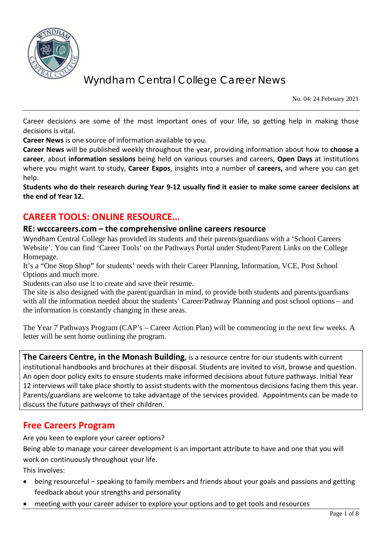

No. 04: 24 February 2021

Career decisions are some of the most important ones of your life, so getting help in making those decisions is vital.

**Career News** is one source of information available to you.

**Career News** will be published weekly throughout the year, providing information about how to **choose a career**, about **information sessions** being held on various courses and careers, **Open Days** at institutions where you might want to study, **Career Expos**, insights into a number of **careers,** and where you can get help.

**Students who do their research during Year 9-12 usually find it easier to make some career decisions at the end of Year 12.**

## **CAREER TOOLS: ONLINE RESOURCE…**

### **RE: wcccareers.com – the comprehensive online careers resource**

Wyndham Central College has provided its students and their parents/guardians with a 'School Careers Website'. You can find 'Career Tools' on the Pathways Portal under Student/Parent Links on the College Homepage.

It's a "One Stop Shop" for students' needs with their Career Planning, Information, VCE, Post School Options and much more.

Students can also use it to create and save their resume.

The site is also designed with the parent/guardian in mind, to provide both students and parents/guardians with all the information needed about the students' Career/Pathway Planning and post school options – and the information is constantly changing in these areas.

The Year 7 Pathways Program (CAP's – Career Action Plan) will be commencing in the next few weeks. A letter will be sent home outlining the program.

**The Careers Centre, in the Monash Building,** is a resource centre for our students with current institutional handbooks and brochures at their disposal. Students are invited to visit, browse and question. An open door policy exits to ensure students make informed decisions about future pathways. Initial Year 12 interviews will take place shortly to assist students with the momentous decisions facing them this year. Parents/guardians are welcome to take advantage of the services provided. Appointments can be made to discuss the future pathways of their children.

### **Free Careers Program**

Are you keen to explore your career options?

Being able to manage your career development is an important attribute to have and one that you will work on continuously throughout your life.

This involves:

- being resourceful speaking to family members and friends about your goals and passions and getting feedback about your strengths and personality
- meeting with your career adviser to explore your options and to get tools and resources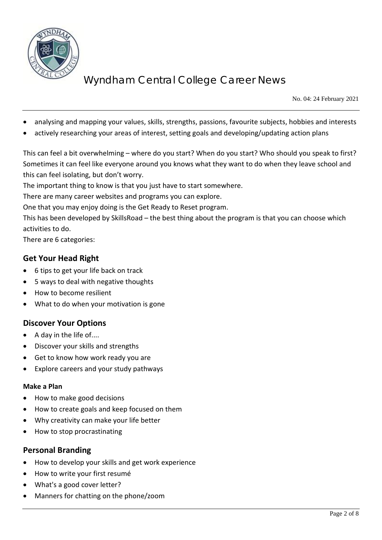

No. 04: 24 February 2021

- analysing and mapping your values, skills, strengths, passions, favourite subjects, hobbies and interests
- actively researching your areas of interest, setting goals and developing/updating action plans

This can feel a bit overwhelming – where do you start? When do you start? Who should you speak to first? Sometimes it can feel like everyone around you knows what they want to do when they leave school and this can feel isolating, but don't worry.

The important thing to know is that you just have to start somewhere.

There are many career websites and programs you can explore.

One that you may enjoy doing is the Get Ready to Reset program.

This has been developed by SkillsRoad – the best thing about the program is that you can choose which activities to do.

There are 6 categories:

### **Get Your Head Right**

- 6 tips to get your life back on track
- 5 ways to deal with negative thoughts
- How to become resilient
- What to do when your motivation is gone

### **Discover Your Options**

- A day in the life of....
- Discover your skills and strengths
- Get to know how work ready you are
- Explore careers and your study pathways

#### **Make a Plan**

- How to make good decisions
- How to create goals and keep focused on them
- Why creativity can make your life better
- How to stop procrastinating

#### **Personal Branding**

- How to develop your skills and get work experience
- How to write your first resumé
- What's a good cover letter?
- Manners for chatting on the phone/zoom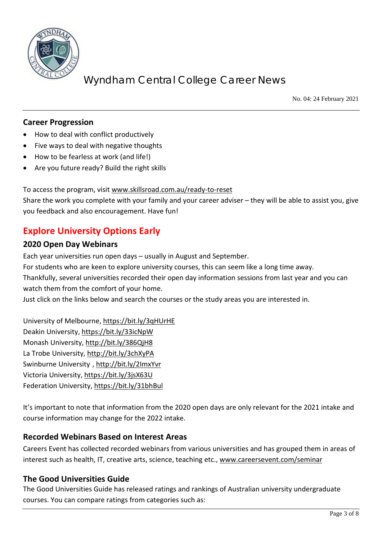

No. 04: 24 February 2021

### **Career Progression**

- How to deal with conflict productively
- Five ways to deal with negative thoughts
- How to be fearless at work (and life!)
- Are you future ready? Build the right skills

To access the program, visit [www.skillsroad.com.au/ready-to-reset](http://www.skillsroad.com.au/ready-to-reset) Share the work you complete with your family and your career adviser – they will be able to assist you, give you feedback and also encouragement. Have fun!

## **Explore University Options Early**

### **2020 Open Day Webinars**

Each year universities run open days – usually in August and September.

For students who are keen to explore university courses, this can seem like a long time away.

Thankfully, several universities recorded their open day information sessions from last year and you can watch them from the comfort of your home.

Just click on the links below and search the courses or the study areas you are interested in.

University of Melbourne[, https://bit.ly/3qHUrHE](https://bit.ly/3qHUrHE) Deakin University,<https://bit.ly/33icNpW> Monash University,<http://bit.ly/386QjH8> La Trobe University,<http://bit.ly/3chXyPA> Swinburne University ,<http://bit.ly/2ImxYvr> Victoria University, <https://bit.ly/3jsX63U> Federation University[, https://bit.ly/31bhBul](https://bit.ly/31bhBul)

It's important to note that information from the 2020 open days are only relevant for the 2021 intake and course information may change for the 2022 intake.

### **Recorded Webinars Based on Interest Areas**

Careers Event has collected recorded webinars from various universities and has grouped them in areas of interest such as health, IT, creative arts, science, teaching etc., [www.careersevent.com/seminar](http://www.careersevent.com/seminar)

### **The Good Universities Guide**

The Good Universities Guide has released ratings and rankings of Australian university undergraduate courses. You can compare ratings from categories such as: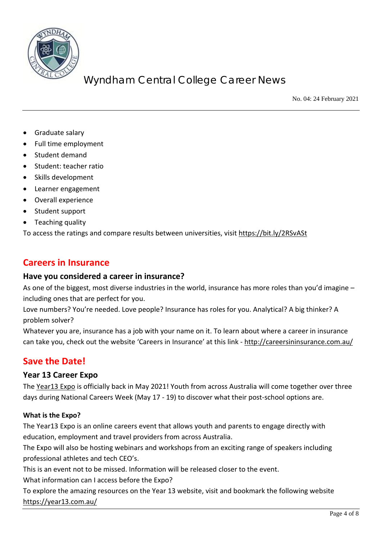

No. 04: 24 February 2021

- Graduate salary
- Full time employment
- Student demand
- Student: teacher ratio
- Skills development
- Learner engagement
- Overall experience
- Student support
- Teaching quality

To access the ratings and compare results between universities, visit<https://bit.ly/2RSvASt>

### **Careers in Insurance**

#### **Have you considered a career in insurance?**

As one of the biggest, most diverse industries in the world, insurance has more roles than you'd imagine – including ones that are perfect for you.

Love numbers? You're needed. Love people? Insurance has roles for you. Analytical? A big thinker? A problem solver?

Whatever you are, insurance has a job with your name on it. To learn about where a career in insurance can take you, check out the website 'Careers in Insurance' at this link - <http://careersininsurance.com.au/>

### **Save the Date!**

#### **Year 13 Career Expo**

The [Year13 Expo](https://protect-au.mimecast.com/s/vvZVCJyBwDIlyzwhmv-Jh?domain=click.mail.year13.com.au) is officially back in May 2021! Youth from across Australia will come together over three days during National Careers Week (May 17 - 19) to discover what their post-school options are.

#### **What is the Expo?**

The Year13 Expo is an online careers event that allows youth and parents to engage directly with education, employment and travel providers from across Australia.

The Expo will also be hosting webinars and workshops from an exciting range of speakers including professional athletes and tech CEO's.

This is an event not to be missed. Information will be released closer to the event.

What information can I access before the Expo?

To explore the amazing resources on the Year 13 website, visit and bookmark the following website <https://year13.com.au/>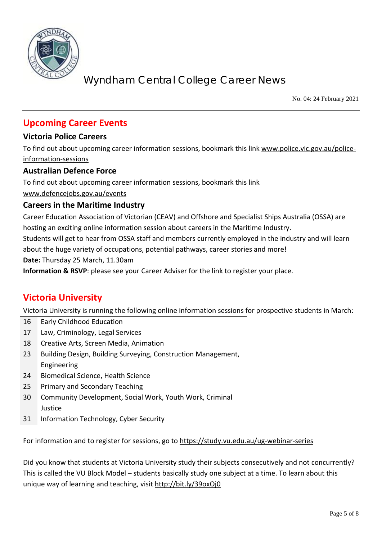

No. 04: 24 February 2021

## **Upcoming Career Events**

### **Victoria Police Careers**

To find out about upcoming career information sessions, bookmark this link [www.police.vic.gov.au/police](http://www.police.vic.gov.au/police-information-sessions)[information-sessions](http://www.police.vic.gov.au/police-information-sessions)

### **Australian Defence Force**

To find out about upcoming career information sessions, bookmark this link [www.defencejobs.gov.au/events](http://www.defencejobs.gov.au/events)

### **Careers in the Maritime Industry**

Career Education Association of Victorian (CEAV) and Offshore and Specialist Ships Australia (OSSA) are hosting an exciting online information session about careers in the Maritime Industry.

Students will get to hear from OSSA staff and members currently employed in the industry and will learn about the huge variety of occupations, potential pathways, career stories and more!

**Date:** Thursday 25 March, 11.30am

**Information & RSVP**: please see your Career Adviser for the link to register your place.

# **Victoria University**

Victoria University is running the following online information sessions for prospective students in March:

| 16        | Early Childhood Education                                     |
|-----------|---------------------------------------------------------------|
| 17        | Law, Criminology, Legal Services                              |
| 18        | Creative Arts, Screen Media, Animation                        |
| 23        | Building Design, Building Surveying, Construction Management, |
|           | Engineering                                                   |
| 24        | Biomedical Science, Health Science                            |
| 25        | <b>Primary and Secondary Teaching</b>                         |
| 30        | Community Development, Social Work, Youth Work, Criminal      |
|           | Justice                                                       |
| <b>CC</b> | Information Tochnology, Cybor Cocurity                        |

31 Information Technology, Cyber Security

For information and to register for sessions, go to<https://study.vu.edu.au/ug-webinar-series>

Did you know that students at Victoria University study their subjects consecutively and not concurrently? This is called the VU Block Model – students basically study one subject at a time. To learn about this unique way of learning and teaching, visit<http://bit.ly/39oxOj0>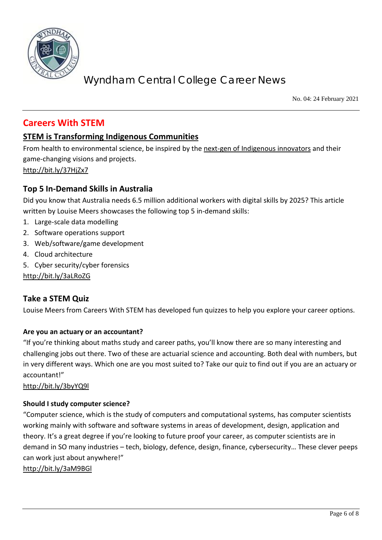

No. 04: 24 February 2021

## **Careers With STEM**

### **[STEM is Transforming Indigenous Communities](https://protect-au.mimecast.com/s/NY3BCE8woOsOBLzsWl4rT?domain=refractionmedia.us7.list-manage.com)**

From health to environmental science, be inspired by the [next-gen of Indigenous innovators](https://protect-au.mimecast.com/s/xtW4CGv0qnhEwkPsAE-_S?domain=refractionmedia.us7.list-manage.com) and their game-changing visions and projects. <http://bit.ly/37HjZx7>

### **[Top](https://protect-au.mimecast.com/s/NY3BCE8woOsOBLzsWl4rT?domain=refractionmedia.us7.list-manage.com) 5 In-Demand Skills in Australia**

Did you know that Australia needs 6.5 million additional workers with digital skills by 2025? This article written by Louise Meers showcases the following top 5 in-demand skills:

- 1. Large-scale data modelling
- 2. Software operations support
- 3. Web/software/game development
- 4. Cloud architecture
- 5. Cyber security/cyber forensics

<http://bit.ly/3aLRoZG>

### **Take a STEM Quiz**

Louise Meers from Careers With STEM has developed fun quizzes to help you explore your career options.

#### **Are you an actuary or an accountant?**

"If you're thinking about maths study and career paths, you'll know there are so many interesting and challenging jobs out there. Two of these are actuarial science and accounting. Both deal with numbers, but in very different ways. Which one are you most suited to? Take our quiz to find out if you are an actuary or accountant!"

<http://bit.ly/3byYQ9l>

#### **Should I study computer science?**

"Computer science, which is the study of computers and computational systems, has computer scientists working mainly with software and software systems in areas of development, design, application and theory. It's a great degree if you're looking to future proof your career, as computer scientists are in demand in SO many industries – tech, biology, defence, design, finance, cybersecurity… These clever peeps can work just about anywhere!"

<http://bit.ly/3aM9BGl>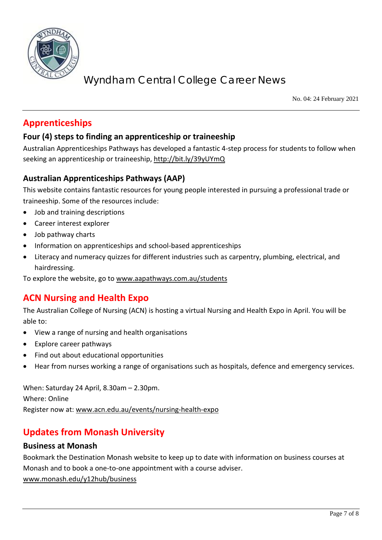

No. 04: 24 February 2021

# **Apprenticeships**

## **Four (4) steps to finding an apprenticeship or traineeship**

Australian Apprenticeships Pathways has developed a fantastic 4-step process for students to follow when seeking an apprenticeship or traineeship[, http://bit.ly/39yUYmQ](http://bit.ly/39yUYmQ)

## **Australian Apprenticeships Pathways (AAP)**

This website contains fantastic resources for young people interested in pursuing a professional trade or traineeship. Some of the resources include:

- Job and training descriptions
- Career interest explorer
- Job pathway charts
- Information on apprenticeships and school-based apprenticeships
- Literacy and numeracy quizzes for different industries such as carpentry, plumbing, electrical, and hairdressing.

To explore the website, go to [www.aapathways.com.au/students](http://www.aapathways.com.au/students)

# **ACN Nursing and Health Expo**

The Australian College of Nursing (ACN) is hosting a virtual Nursing and Health Expo in April. You will be able to:

- View a range of nursing and health organisations
- Explore career pathways
- Find out about educational opportunities
- Hear from nurses working a range of organisations such as hospitals, defence and emergency services.

When: Saturday 24 April, 8.30am – 2.30pm. Where: Online Register now at: [www.acn.edu.au/events/nursing-health-expo](http://www.acn.edu.au/events/nursing-health-expo)

# **Updates from Monash University**

### **Business at Monash**

Bookmark the Destination Monash website to keep up to date with information on business courses at Monash and to book a one-to-one appointment with a course adviser. [www.monash.edu/y12hub/business](http://www.monash.edu/y12hub/business)